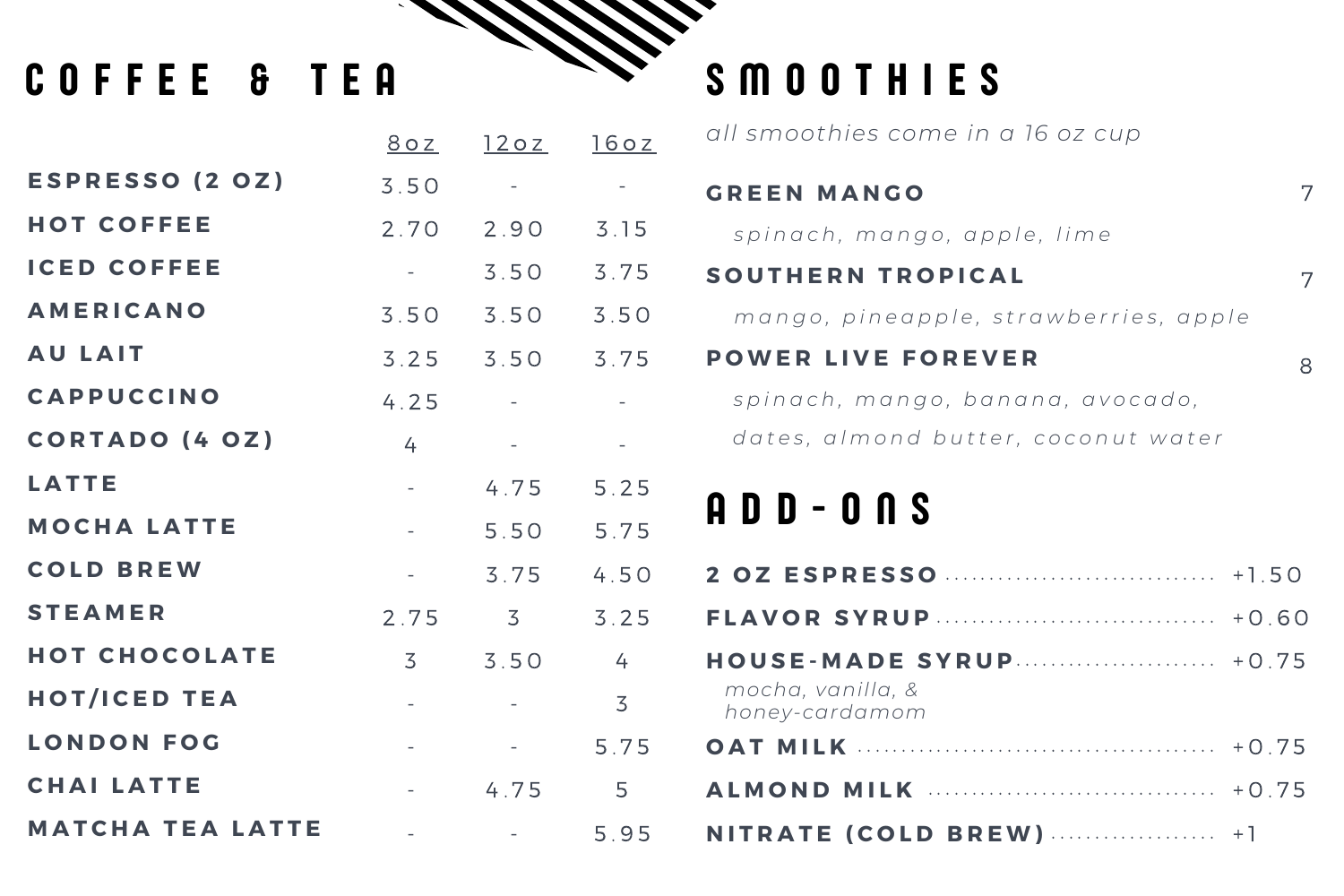# COFFEE & TEA

**E S P R E S S O ( 2 O Z ) H O T C O F F E E I C E D C O F F E E A M E R I C A N O A U L A I T C A P P U C C I N O C O R T A D O ( 4 O Z ) L A T T E M O C H A L A T T E C O L D B R E W S T E A M E R H O T C H O C O L A T E H O T / I C E D T E A L O N D O N F O G C H A I L A T T E** 8 o z 3 . 5 0 2 . 7 0 - 3 . 5 0 3 . 2 5 4 . 2 5 4 - - - 2 . 7 5 3 - - -

**M A T C H A T E A L A T T E**

-

- -
- 2 . 9 0 3 . 1 5
- 3 . 5 0 3 . 7 5

3 . 5 0 3 . 5 0

3 . 5 0 3 . 7 5

4 . 7 5

-

- -
- -
- 4 . 7 5 5 . 2 5
- 5 . 5 0 5 . 7 5
- 3 . 7 5 4 . 5 0
	- 3 3 . 2 5

3 . 5 0 4

- 3

> - 5 . 7 5

> > 5

# S M O O T H I E S

<u>12 o z</u> <u>16 o z</u> *all smoothies come in a 16 oz cup*

# A D D - O N S

7

7

8

# **G R E E N M A N G O**

*s p i n a c h , m a n g o , a p p l e , l i m e*

## **S O U T H E R N T R O P I C A L**

mango, pineapple, strawberries, apple

## **P O W E R L I V E F O R E V E R**

spinach, mango, banana, avocado, dates, almond butter, coconut water

# **2 O Z E S P R E S S O**

5 . 9 5 **N I T R A T E ( C O L D B R E W ) A L M O N D M I L K** . . . . . . . . . . . . . . . . . . . . . . . . . . . . . . . . . . . . . . . . . + 0 . 7 5 . . . . . . . . . . . . . . . . . . . . . . . . . . . . . . . . . + 0 . 7 5 . . . . . . . . . . . . . . . . . . . + 1

**O A T M I L K**

**F L A V O R S Y R U P H O U S E - M A D E S Y R U P** . . . . . . . . . . . . . . . . . . . . . . . . . . . . . . . + 1 . 5 0 . . . . . . . . . . . . . . . . . . . . . . . . . . . . . . . . + 0 . 6 0 . . . . . . . . . . . . . . . . . . . . . . . + 0 . 7 5 *mocha, vanilla, & honey-cardamom*